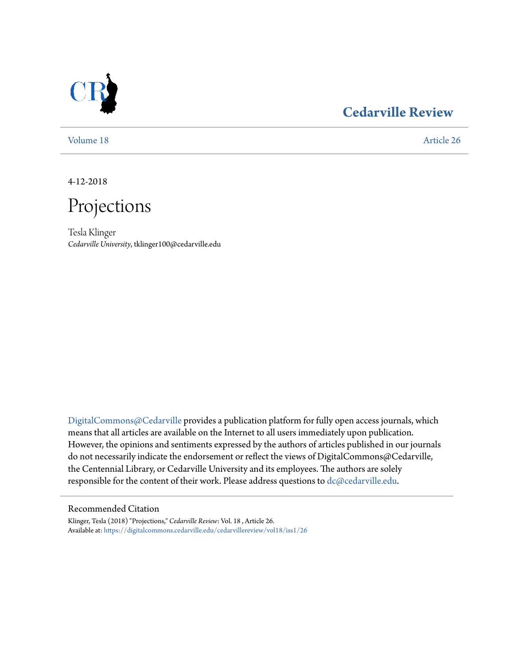

### **[Cedarville Review](https://digitalcommons.cedarville.edu/cedarvillereview?utm_source=digitalcommons.cedarville.edu%2Fcedarvillereview%2Fvol18%2Fiss1%2F26&utm_medium=PDF&utm_campaign=PDFCoverPages)**

[Volume 18](https://digitalcommons.cedarville.edu/cedarvillereview/vol18?utm_source=digitalcommons.cedarville.edu%2Fcedarvillereview%2Fvol18%2Fiss1%2F26&utm_medium=PDF&utm_campaign=PDFCoverPages) [Article 26](https://digitalcommons.cedarville.edu/cedarvillereview/vol18/iss1/26?utm_source=digitalcommons.cedarville.edu%2Fcedarvillereview%2Fvol18%2Fiss1%2F26&utm_medium=PDF&utm_campaign=PDFCoverPages)

4-12-2018



Tesla Klinger *Cedarville University*, tklinger100@cedarville.edu

[DigitalCommons@Cedarville](http://digitalcommons.cedarville.edu/) provides a publication platform for fully open access journals, which means that all articles are available on the Internet to all users immediately upon publication. However, the opinions and sentiments expressed by the authors of articles published in our journals do not necessarily indicate the endorsement or reflect the views of DigitalCommons@Cedarville, the Centennial Library, or Cedarville University and its employees. The authors are solely responsible for the content of their work. Please address questions to [dc@cedarville.edu](mailto:dc@cedarville.edu).

#### Recommended Citation

Klinger, Tesla (2018) "Projections," *Cedarville Review*: Vol. 18 , Article 26. Available at: [https://digitalcommons.cedarville.edu/cedarvillereview/vol18/iss1/26](https://digitalcommons.cedarville.edu/cedarvillereview/vol18/iss1/26?utm_source=digitalcommons.cedarville.edu%2Fcedarvillereview%2Fvol18%2Fiss1%2F26&utm_medium=PDF&utm_campaign=PDFCoverPages)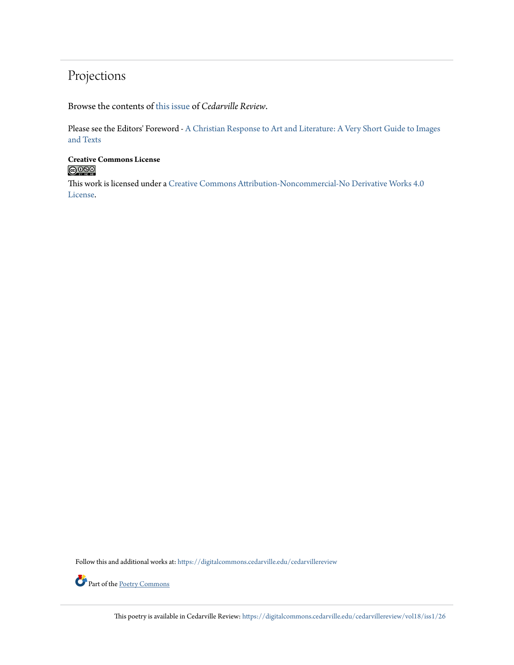### Projections

Browse the contents of [this issue](https://digitalcommons.cedarville.edu/cedarvillereview/vol18/iss1) of *Cedarville Review*.

Please see the Editors' Foreword - [A Christian Response to Art and Literature: A Very Short Guide to Images](http://digitalcommons.cedarville.edu/cedarvillereview/vol18/iss1/1/) [and Texts](http://digitalcommons.cedarville.edu/cedarvillereview/vol18/iss1/1/)

# **Creative Commons License**<br> **C** 090

This work is licensed under a [Creative Commons Attribution-Noncommercial-No Derivative Works 4.0](http://creativecommons.org/licenses/by-nc-nd/4.0/) [License.](http://creativecommons.org/licenses/by-nc-nd/4.0/)

Follow this and additional works at: [https://digitalcommons.cedarville.edu/cedarvillereview](https://digitalcommons.cedarville.edu/cedarvillereview?utm_source=digitalcommons.cedarville.edu%2Fcedarvillereview%2Fvol18%2Fiss1%2F26&utm_medium=PDF&utm_campaign=PDFCoverPages)



Part of the [Poetry Commons](http://network.bepress.com/hgg/discipline/1153?utm_source=digitalcommons.cedarville.edu%2Fcedarvillereview%2Fvol18%2Fiss1%2F26&utm_medium=PDF&utm_campaign=PDFCoverPages)

This poetry is available in Cedarville Review: [https://digitalcommons.cedarville.edu/cedarvillereview/vol18/iss1/26](https://digitalcommons.cedarville.edu/cedarvillereview/vol18/iss1/26?utm_source=digitalcommons.cedarville.edu%2Fcedarvillereview%2Fvol18%2Fiss1%2F26&utm_medium=PDF&utm_campaign=PDFCoverPages)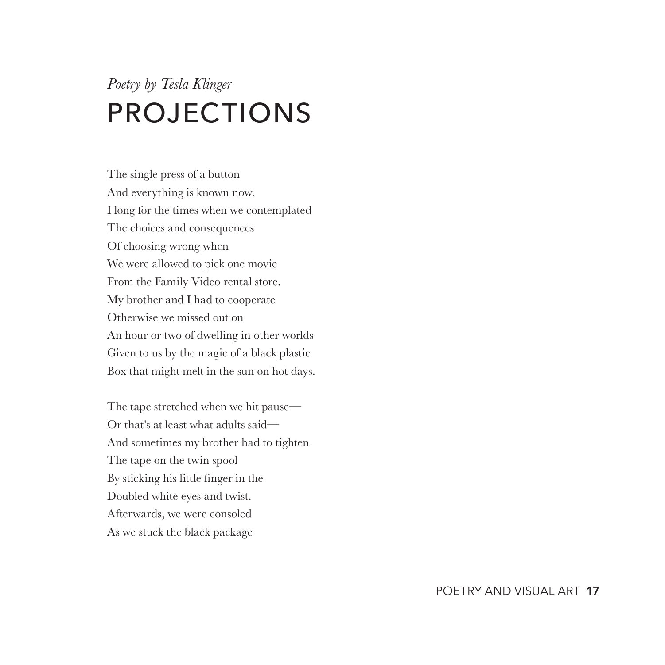## *Poetry by Tesla Klinger* PROJECTIONS

The single press of a button And everything is known now. I long for the times when we contemplated The choices and consequences Of choosing wrong when We were allowed to pick one movie From the Family Video rental store. My brother and I had to cooperate Otherwise we missed out on An hour or two of dwelling in other worlds Given to us by the magic of a black plastic Box that might melt in the sun on hot days.

The tape stretched when we hit pause— Or that's at least what adults said— And sometimes my brother had to tighten The tape on the twin spool By sticking his little finger in the Doubled white eyes and twist. Afterwards, we were consoled As we stuck the black package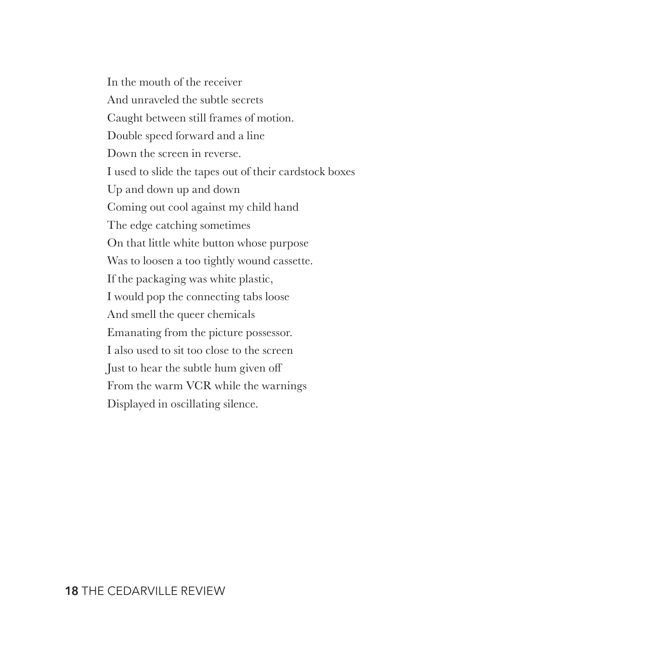In the mouth of the receiver And unraveled the subtle secrets Caught between still frames of motion. Double speed forward and a line Down the screen in reverse. I used to slide the tapes out of their cardstock boxes Up and down up and down Coming out cool against my child hand The edge catching sometimes On that little white button whose purpose Was to loosen a too tightly wound cassette. If the packaging was white plastic, I would pop the connecting tabs loose And smell the queer chemicals Emanating from the picture possessor. I also used to sit too close to the screen Just to hear the subtle hum given off From the warm VCR while the warnings Displayed in oscillating silence.

#### **18** THE CEDARVILLE REVIEW